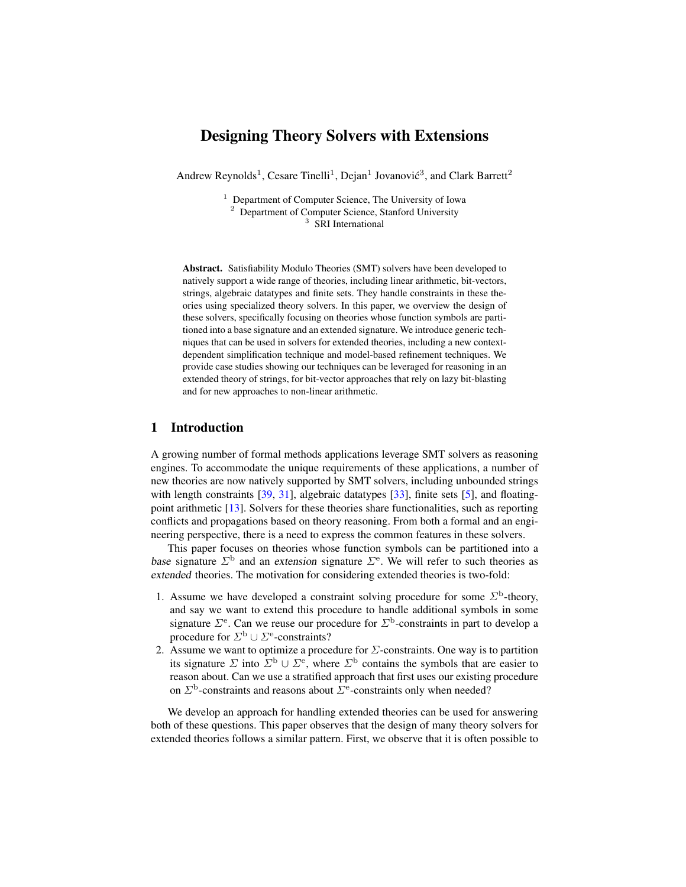# Designing Theory Solvers with Extensions

Andrew Reynolds<sup>1</sup>, Cesare Tinelli<sup>1</sup>, Dejan<sup>1</sup> Jovanović<sup>3</sup>, and Clark Barrett<sup>2</sup>

<sup>1</sup> Department of Computer Science, The University of Iowa <sup>2</sup> Department of Computer Science, Stanford University <sup>3</sup> SRI International

Abstract. Satisfiability Modulo Theories (SMT) solvers have been developed to natively support a wide range of theories, including linear arithmetic, bit-vectors, strings, algebraic datatypes and finite sets. They handle constraints in these theories using specialized theory solvers. In this paper, we overview the design of these solvers, specifically focusing on theories whose function symbols are partitioned into a base signature and an extended signature. We introduce generic techniques that can be used in solvers for extended theories, including a new contextdependent simplification technique and model-based refinement techniques. We provide case studies showing our techniques can be leveraged for reasoning in an extended theory of strings, for bit-vector approaches that rely on lazy bit-blasting and for new approaches to non-linear arithmetic.

## 1 Introduction

A growing number of formal methods applications leverage SMT solvers as reasoning engines. To accommodate the unique requirements of these applications, a number of new theories are now natively supported by SMT solvers, including unbounded strings with length constraints [\[39,](#page-16-0) [31\]](#page-16-1), algebraic datatypes [\[33\]](#page-16-2), finite sets [\[5\]](#page-15-0), and floatingpoint arithmetic [\[13\]](#page-15-1). Solvers for these theories share functionalities, such as reporting conflicts and propagations based on theory reasoning. From both a formal and an engineering perspective, there is a need to express the common features in these solvers.

This paper focuses on theories whose function symbols can be partitioned into a base signature  $\Sigma^{\text{b}}$  and an extension signature  $\Sigma^{\text{e}}$ . We will refer to such theories as extended theories. The motivation for considering extended theories is two-fold:

- 1. Assume we have developed a constraint solving procedure for some  $\Sigma^{\text{b}}$ -theory, and say we want to extend this procedure to handle additional symbols in some signature  $\Sigma$ <sup>e</sup>. Can we reuse our procedure for  $\Sigma$ <sup>b</sup>-constraints in part to develop a procedure for  $\Sigma^{\text{b}} \cup \Sigma^{\text{e}}$ -constraints?
- 2. Assume we want to optimize a procedure for  $\Sigma$ -constraints. One way is to partition its signature  $\Sigma$  into  $\Sigma^{\text{b}} \cup \Sigma^{\text{e}}$ , where  $\Sigma^{\text{b}}$  contains the symbols that are easier to reason about. Can we use a stratified approach that first uses our existing procedure on  $\Sigma^{\text{b}}$ -constraints and reasons about  $\Sigma^{\text{e}}$ -constraints only when needed?

We develop an approach for handling extended theories can be used for answering both of these questions. This paper observes that the design of many theory solvers for extended theories follows a similar pattern. First, we observe that it is often possible to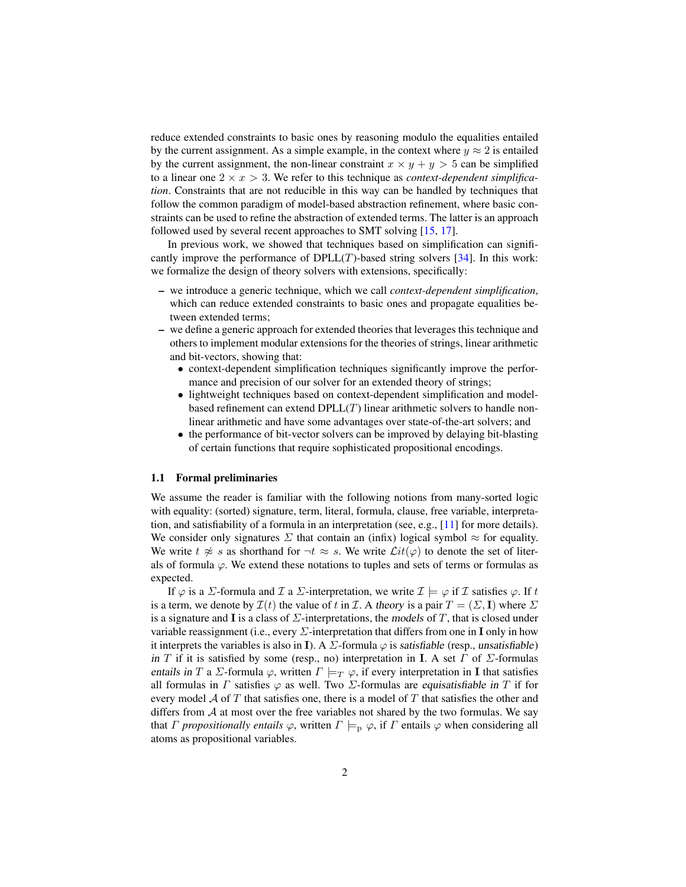reduce extended constraints to basic ones by reasoning modulo the equalities entailed by the current assignment. As a simple example, in the context where  $y \approx 2$  is entailed by the current assignment, the non-linear constraint  $x \times y + y > 5$  can be simplified to a linear one  $2 \times x > 3$ . We refer to this technique as *context-dependent simplification*. Constraints that are not reducible in this way can be handled by techniques that follow the common paradigm of model-based abstraction refinement, where basic constraints can be used to refine the abstraction of extended terms. The latter is an approach followed used by several recent approaches to SMT solving [\[15,](#page-15-2) [17\]](#page-16-3).

In previous work, we showed that techniques based on simplification can significantly improve the performance of  $DPLL(T)$ -based string solvers [\[34\]](#page-16-4). In this work: we formalize the design of theory solvers with extensions, specifically:

- we introduce a generic technique, which we call *context-dependent simplification*, which can reduce extended constraints to basic ones and propagate equalities between extended terms;
- we define a generic approach for extended theories that leverages this technique and others to implement modular extensions for the theories of strings, linear arithmetic and bit-vectors, showing that:
	- context-dependent simplification techniques significantly improve the performance and precision of our solver for an extended theory of strings;
	- lightweight techniques based on context-dependent simplification and modelbased refinement can extend  $DPLL(T)$  linear arithmetic solvers to handle nonlinear arithmetic and have some advantages over state-of-the-art solvers; and
	- the performance of bit-vector solvers can be improved by delaying bit-blasting of certain functions that require sophisticated propositional encodings.

#### 1.1 Formal preliminaries

We assume the reader is familiar with the following notions from many-sorted logic with equality: (sorted) signature, term, literal, formula, clause, free variable, interpretation, and satisfiability of a formula in an interpretation (see, e.g.,  $[11]$  for more details). We consider only signatures  $\Sigma$  that contain an (infix) logical symbol  $\approx$  for equality. We write  $t \not\approx s$  as shorthand for  $\neg t \approx s$ . We write  $\mathcal{L}it(\varphi)$  to denote the set of literals of formula  $\varphi$ . We extend these notations to tuples and sets of terms or formulas as expected.

If  $\varphi$  is a  $\Sigma$ -formula and  $\mathcal I$  a  $\Sigma$ -interpretation, we write  $\mathcal I \models \varphi$  if  $\mathcal I$  satisfies  $\varphi$ . If t is a term, we denote by  $\mathcal{I}(t)$  the value of t in  $\mathcal{I}$ . A theory is a pair  $T = (\Sigma, \mathbf{I})$  where  $\Sigma$ is a signature and I is a class of  $\Sigma$ -interpretations, the models of T, that is closed under variable reassignment (i.e., every  $\Sigma$ -interpretation that differs from one in I only in how it interprets the variables is also in I). A  $\Sigma$ -formula  $\varphi$  is satisfiable (resp., unsatisfiable) in T if it is satisfied by some (resp., no) interpretation in I. A set  $\Gamma$  of  $\Sigma$ -formulas entails in T a Σ-formula  $\varphi$ , written  $\Gamma \models_T \varphi$ , if every interpretation in **I** that satisfies all formulas in  $\Gamma$  satisfies  $\varphi$  as well. Two  $\Sigma$ -formulas are *equisatisfiable in*  $T$  if for every model  $A$  of T that satisfies one, there is a model of T that satisfies the other and differs from  $A$  at most over the free variables not shared by the two formulas. We say that *Γ propositionally entails*  $\varphi$ , written  $\Gamma \models_{\mathbf{p}} \varphi$ , if *Γ* entails  $\varphi$  when considering all atoms as propositional variables.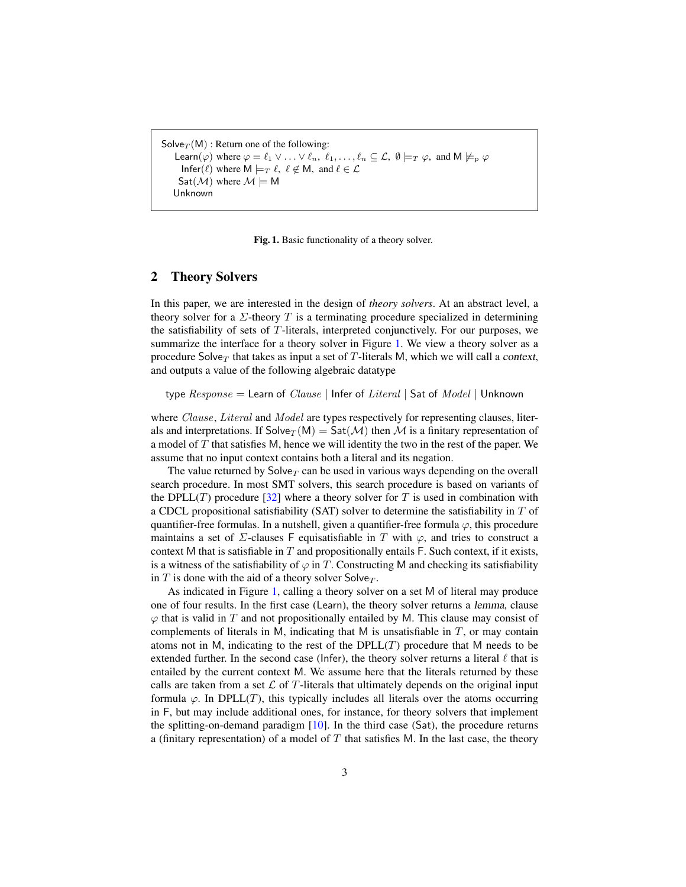```
Solve_T(M): Return one of the following:
Learn(\varphi) where \varphi = \ell_1 \vee \ldots \vee \ell_n, \ell_1, \ldots, \ell_n \subseteq \mathcal{L}, \emptyset \models_T \varphi, and M \not\models_{p} \varphiInfer(\ell) where M \models_T \ell, \ell \notin M, and \ell \in \mathcal{L}Sat(\mathcal{M}) where \mathcal{M} \models MUnknown
```
<span id="page-2-0"></span>Fig. 1. Basic functionality of a theory solver.

### 2 Theory Solvers

In this paper, we are interested in the design of *theory solvers*. At an abstract level, a theory solver for a  $\Sigma$ -theory T is a terminating procedure specialized in determining the satisfiability of sets of  $T$ -literals, interpreted conjunctively. For our purposes, we summarize the interface for a theory solver in Figure [1.](#page-2-0) We view a theory solver as a procedure Solve $_T$  that takes as input a set of T-literals M, which we will call a context, and outputs a value of the following algebraic datatype

type  $Response =$  Learn of  $Clusteral$  | Infer of  $Literal$  | Sat of  $Model$  | Unknown

where Clause, Literal and Model are types respectively for representing clauses, literals and interpretations. If  $Solve_T(M) = Sat(M)$  then M is a finitary representation of a model of  $T$  that satisfies M, hence we will identity the two in the rest of the paper. We assume that no input context contains both a literal and its negation.

The value returned by  $Solve_T$  can be used in various ways depending on the overall search procedure. In most SMT solvers, this search procedure is based on variants of the DPLL(T) procedure [\[32\]](#page-16-5) where a theory solver for T is used in combination with a CDCL propositional satisfiability (SAT) solver to determine the satisfiability in  $T$  of quantifier-free formulas. In a nutshell, given a quantifier-free formula  $\varphi$ , this procedure maintains a set of  $\Sigma$ -clauses F equisatisfiable in T with  $\varphi$ , and tries to construct a context M that is satisfiable in  $T$  and propositionally entails F. Such context, if it exists, is a witness of the satisfiability of  $\varphi$  in T. Constructing M and checking its satisfiability in T is done with the aid of a theory solver Solve $_T$ .

As indicated in Figure [1,](#page-2-0) calling a theory solver on a set M of literal may produce one of four results. In the first case (Learn), the theory solver returns a lemma, clause  $\varphi$  that is valid in  $T$  and not propositionally entailed by M. This clause may consist of complements of literals in M, indicating that M is unsatisfiable in  $T$ , or may contain atoms not in M, indicating to the rest of the  $DPLL(T)$  procedure that M needs to be extended further. In the second case (Infer), the theory solver returns a literal  $\ell$  that is entailed by the current context M. We assume here that the literals returned by these calls are taken from a set  $\mathcal L$  of T-literals that ultimately depends on the original input formula  $\varphi$ . In DPLL(T), this typically includes all literals over the atoms occurring in F, but may include additional ones, for instance, for theory solvers that implement the splitting-on-demand paradigm  $[10]$ . In the third case (Sat), the procedure returns a (finitary representation) of a model of  $T$  that satisfies M. In the last case, the theory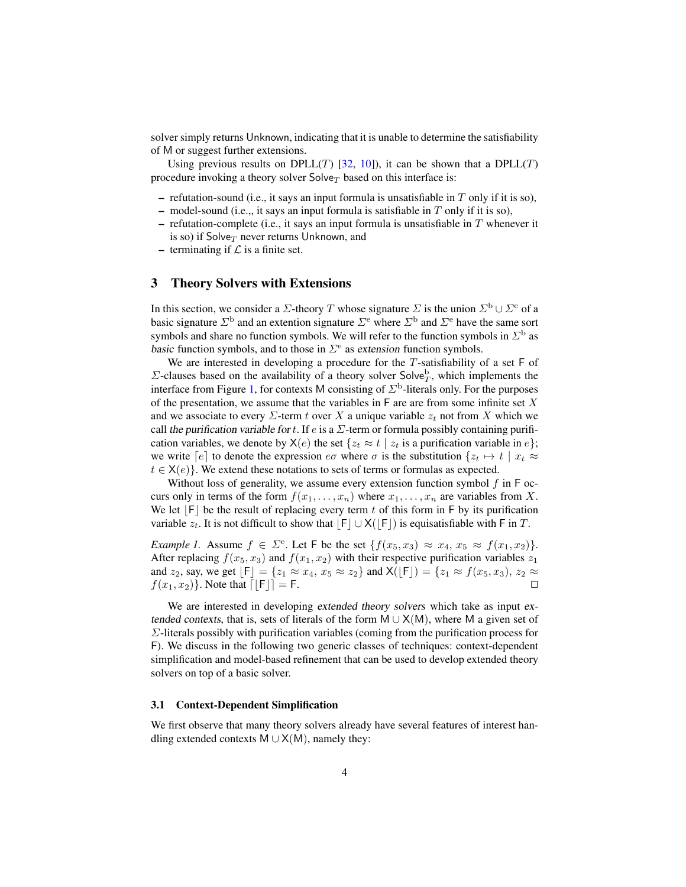solver simply returns Unknown, indicating that it is unable to determine the satisfiability of M or suggest further extensions.

Using previous results on DPLL(T) [\[32,](#page-16-5) [10\]](#page-15-4)), it can be shown that a DPLL(T) procedure invoking a theory solver  $Solve_\mathcal{T}$  based on this interface is:

- refutation-sound (i.e., it says an input formula is unsatisfiable in  $T$  only if it is so),
- model-sound (i.e.,, it says an input formula is satisfiable in  $T$  only if it is so),
- refutation-complete (i.e., it says an input formula is unsatisfiable in  $T$  whenever it is so) if Solve $_T$  never returns Unknown, and
- terminating if  $\mathcal L$  is a finite set.

### 3 Theory Solvers with Extensions

In this section, we consider a  $\Sigma$ -theory T whose signature  $\Sigma$  is the union  $\Sigma^{\rm b}\cup \Sigma^{\rm e}$  of a basic signature  $\Sigma^{\text{b}}$  and an extention signature  $\Sigma^{\text{e}}$  where  $\Sigma^{\text{b}}$  and  $\Sigma^{\text{e}}$  have the same sort symbols and share no function symbols. We will refer to the function symbols in  $\Sigma^{\rm b}$  as basic function symbols, and to those in  $\Sigma$ <sup>e</sup> as extension function symbols.

We are interested in developing a procedure for the  $T$ -satisfiability of a set  $F$  of  $\Sigma$ -clauses based on the availability of a theory solver Solve $_D^b$ , which implements the interface from Figure [1,](#page-2-0) for contexts M consisting of  $\Sigma^{\text{b}}$ -literals only. For the purposes of the presentation, we assume that the variables in  $F$  are are from some infinite set  $X$ and we associate to every  $\Sigma$ -term t over X a unique variable  $z_t$  not from X which we call the purification variable for t. If  $e$  is a  $\Sigma$ -term or formula possibly containing purification variables, we denote by  $X(e)$  the set  $\{z_t \approx t \mid z_t \text{ is a purification variable in } e\};$ we write  $[e]$  to denote the expression  $e\sigma$  where  $\sigma$  is the substitution  $\{z_t \mapsto t \mid x_t \approx$  $t \in X(e)$ . We extend these notations to sets of terms or formulas as expected.

Without loss of generality, we assume every extension function symbol  $f$  in  $F$  occurs only in terms of the form  $f(x_1, \ldots, x_n)$  where  $x_1, \ldots, x_n$  are variables from X. We let  $|F|$  be the result of replacing every term t of this form in F by its purification variable  $z_t$ . It is not difficult to show that  $|F| \cup X(|F|)$  is equisatisfiable with F in T.

*Example 1.* Assume  $f \in \Sigma^e$ . Let F be the set  $\{f(x_5, x_3) \approx x_4, x_5 \approx f(x_1, x_2)\}.$ After replacing  $f(x_5, x_3)$  and  $f(x_1, x_2)$  with their respective purification variables  $z_1$ and  $z_2$ , say, we get  $[F] = \{z_1 \approx x_4, x_5 \approx z_2\}$  and  $\mathsf{X}([\mathsf{F}]) = \{z_1 \approx f(x_5, x_3), z_2 \approx z_1\}$  $f(x_1, x_2)$ . Note that  $\lceil \vert F \vert \rceil = F$ .

We are interested in developing extended theory solvers which take as input extended contexts, that is, sets of literals of the form  $M \cup X(M)$ , where M a given set of Σ-literals possibly with purification variables (coming from the purification process for F). We discuss in the following two generic classes of techniques: context-dependent simplification and model-based refinement that can be used to develop extended theory solvers on top of a basic solver.

#### <span id="page-3-0"></span>3.1 Context-Dependent Simplification

We first observe that many theory solvers already have several features of interest handling extended contexts  $M \cup X(M)$ , namely they: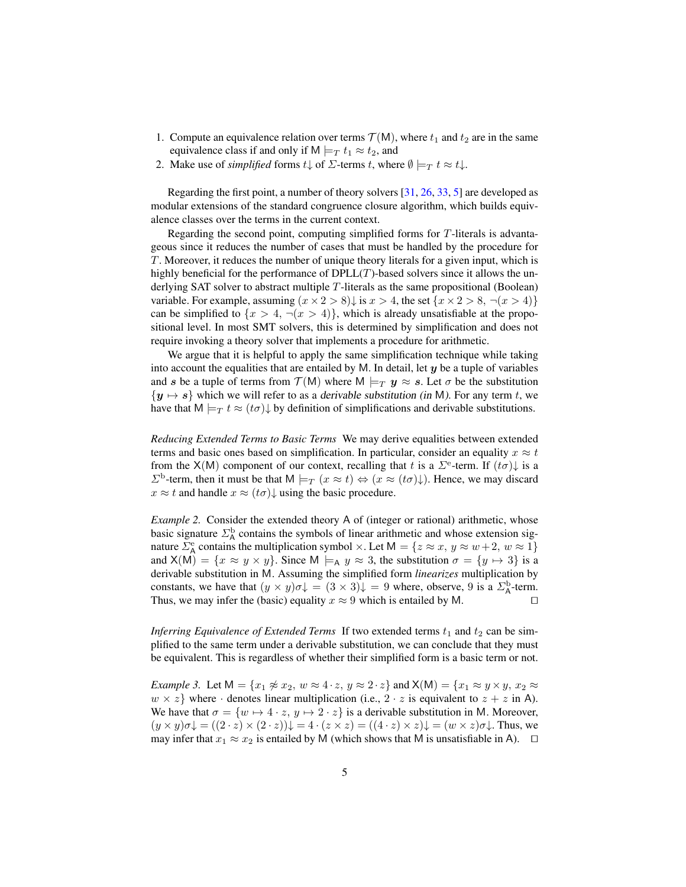- 1. Compute an equivalence relation over terms  $\mathcal{T}(\mathsf{M})$ , where  $t_1$  and  $t_2$  are in the same equivalence class if and only if M  $\models_T t_1 \approx t_2$ , and
- 2. Make use of *simplified* forms  $t \downarrow$  of  $\Sigma$ -terms t, where  $\emptyset \models_T t \approx t \downarrow$ .

Regarding the first point, a number of theory solvers [\[31,](#page-16-1) [26,](#page-16-6) [33,](#page-16-2) [5\]](#page-15-0) are developed as modular extensions of the standard congruence closure algorithm, which builds equivalence classes over the terms in the current context.

Regarding the second point, computing simplified forms for T-literals is advantageous since it reduces the number of cases that must be handled by the procedure for T. Moreover, it reduces the number of unique theory literals for a given input, which is highly beneficial for the performance of  $DPLL(T)$ -based solvers since it allows the underlying SAT solver to abstract multiple T-literals as the same propositional (Boolean) variable. For example, assuming  $(x \times 2 > 8)$  is  $x > 4$ , the set  $\{x \times 2 > 8, \neg(x > 4)\}$ can be simplified to  $\{x > 4, \neg(x > 4)\}\$ , which is already unsatisfiable at the propositional level. In most SMT solvers, this is determined by simplification and does not require invoking a theory solver that implements a procedure for arithmetic.

We argue that it is helpful to apply the same simplification technique while taking into account the equalities that are entailed by M. In detail, let  $y$  be a tuple of variables and s be a tuple of terms from  $\mathcal{T}(M)$  where  $M \models_T y \approx s$ . Let  $\sigma$  be the substitution  $\{y \mapsto s\}$  which we will refer to as a derivable substitution (in M). For any term t, we have that  $M \models_T t \approx (t\sigma)\downarrow$  by definition of simplifications and derivable substitutions.

*Reducing Extended Terms to Basic Terms* We may derive equalities between extended terms and basic ones based on simplification. In particular, consider an equality  $x \approx t$ from the X(M) component of our context, recalling that t is a  $\Sigma^{\text{e}}$ -term. If  $(t\sigma)$  is a  $\Sigma^{\rm b}$ -term, then it must be that  $M \models_T (x \approx t) \Leftrightarrow (x \approx (t\sigma)\downarrow)$ . Hence, we may discard  $x \approx t$  and handle  $x \approx (t\sigma)\downarrow$  using the basic procedure.

*Example 2.* Consider the extended theory A of (integer or rational) arithmetic, whose basic signature  $\Sigma_A^{\rm b}$  contains the symbols of linear arithmetic and whose extension signature  $\Sigma_A^e$  contains the multiplication symbol  $\times$ . Let  $M = \{z \approx x, y \approx w + 2, w \approx 1\}$ and  $X(M) = \{x \approx y \times y\}$ . Since  $M \models_A y \approx 3$ , the substitution  $\sigma = \{y \mapsto 3\}$  is a derivable substitution in M. Assuming the simplified form *linearizes* multiplication by constants, we have that  $(y \times y)\sigma \downarrow = (3 \times 3) \downarrow = 9$  where, observe, 9 is a  $\Sigma_A^{\rm b}$ -term. Thus, we may infer the (basic) equality  $x \approx 9$  which is entailed by M.

*Inferring Equivalence of Extended Terms* If two extended terms  $t_1$  and  $t_2$  can be simplified to the same term under a derivable substitution, we can conclude that they must be equivalent. This is regardless of whether their simplified form is a basic term or not.

*Example 3.* Let  $M = \{x_1 \not\approx x_2, w \approx 4 \cdot z, y \approx 2 \cdot z\}$  and  $X(M) = \{x_1 \approx y \times y, x_2 \approx 0\}$  $w \times z$  where  $\cdot$  denotes linear multiplication (i.e.,  $2 \cdot z$  is equivalent to  $z + z$  in A). We have that  $\sigma = \{w \mapsto 4 \cdot z, y \mapsto 2 \cdot z\}$  is a derivable substitution in M. Moreover,  $(y \times y)\sigma\mathcal{L} = ((2 \cdot z) \times (2 \cdot z))\mathcal{L} = 4 \cdot (z \times z) = ((4 \cdot z) \times z)\mathcal{L} = (w \times z)\sigma\mathcal{L}$ . Thus, we may infer that  $x_1 \approx x_2$  is entailed by M (which shows that M is unsatisfiable in A).  $\Box$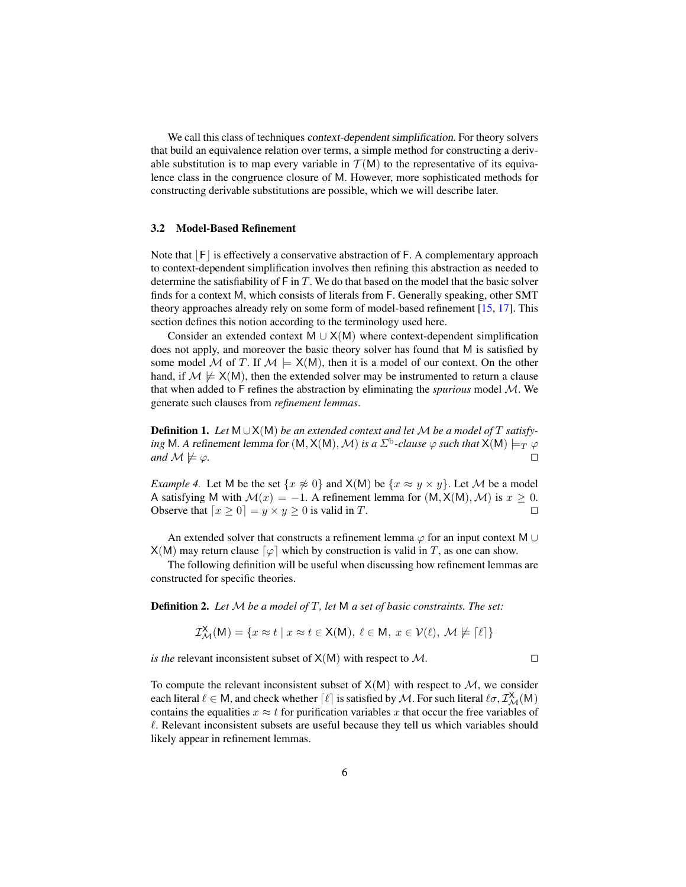We call this class of techniques context-dependent simplification. For theory solvers that build an equivalence relation over terms, a simple method for constructing a derivable substitution is to map every variable in  $\mathcal{T}(M)$  to the representative of its equivalence class in the congruence closure of M. However, more sophisticated methods for constructing derivable substitutions are possible, which we will describe later.

### <span id="page-5-0"></span>3.2 Model-Based Refinement

Note that  $|F|$  is effectively a conservative abstraction of F. A complementary approach to context-dependent simplification involves then refining this abstraction as needed to determine the satisfiability of  $\mathsf{F}$  in T. We do that based on the model that the basic solver finds for a context M, which consists of literals from F. Generally speaking, other SMT theory approaches already rely on some form of model-based refinement [\[15,](#page-15-2) [17\]](#page-16-3). This section defines this notion according to the terminology used here.

Consider an extended context M  $\cup$  X(M) where context-dependent simplification does not apply, and moreover the basic theory solver has found that M is satisfied by some model M of T. If  $M \models X(M)$ , then it is a model of our context. On the other hand, if  $M \not\models X(M)$ , then the extended solver may be instrumented to return a clause that when added to F refines the abstraction by eliminating the *spurious* model M. We generate such clauses from *refinement lemmas*.

Definition 1. *Let* M ∪X(M) *be an extended context and let* M *be a model of* T *satisfy-* $\phi$  mg M. A refinement lemma for (M, X(M), M) is a  $\Sigma^\mathrm{b}$ -clause  $\varphi$  such that X(M)  $\models_T \varphi$  $and M \not\models \varphi.$ 

*Example 4.* Let M be the set  $\{x \not\approx 0\}$  and  $X(M)$  be  $\{x \approx y \times y\}$ . Let M be a model A satisfying M with  $\mathcal{M}(x) = -1$ . A refinement lemma for  $(M, X(M), \mathcal{M})$  is  $x \geq 0$ . Observe that  $\lceil x \ge 0 \rceil = y \times y \ge 0$  is valid in T.

An extended solver that constructs a refinement lemma  $\varphi$  for an input context M ∪  $X(M)$  may return clause  $\lceil \varphi \rceil$  which by construction is valid in T, as one can show.

The following definition will be useful when discussing how refinement lemmas are constructed for specific theories.

Definition 2. *Let* M *be a model of* T*, let* M *a set of basic constraints. The set:*

$$
\mathcal{I}^{\mathsf{X}}_{\mathcal{M}}(\mathsf{M}) = \{ x \approx t \mid x \approx t \in \mathsf{X}(\mathsf{M}), \ell \in \mathsf{M}, \ x \in \mathcal{V}(\ell), \ \mathcal{M} \not\models [\ell] \}
$$

*is the* relevant inconsistent subset of  $X(M)$  with respect to M.

To compute the relevant inconsistent subset of  $X(M)$  with respect to  $M$ , we consider each literal  $\ell \in M$ , and check whether  $\lceil \ell \rceil$  is satisfied by  $\cal M$ . For such literal  $\ell \sigma, \mathcal{I}^{\rm X}_{\cal M}(M)$ contains the equalities  $x \approx t$  for purification variables x that occur the free variables of  $\ell$ . Relevant inconsistent subsets are useful because they tell us which variables should likely appear in refinement lemmas.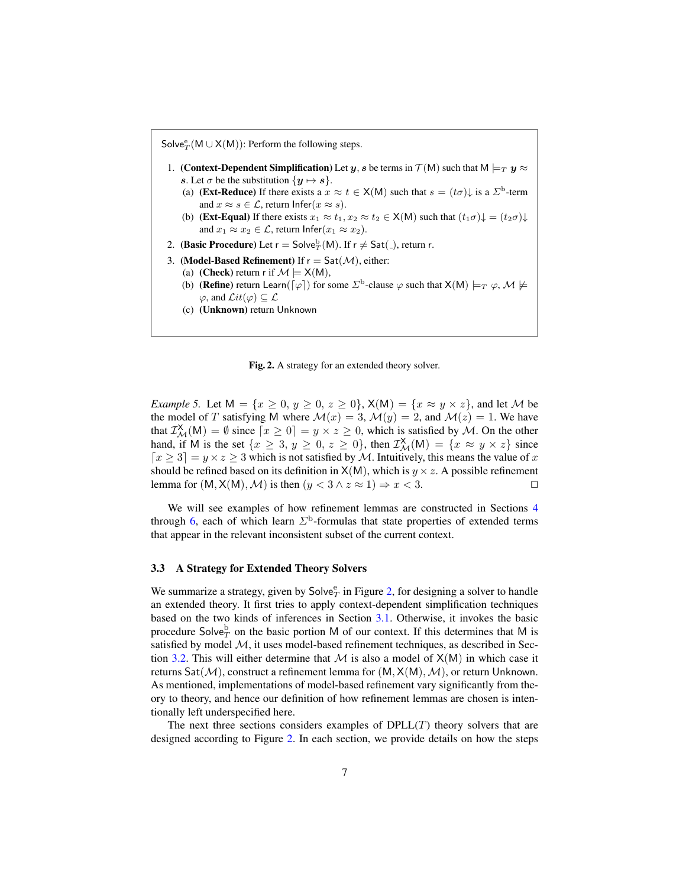Solve ${}_{T}^{e}(M \cup X(M))$ : Perform the following steps.

- 1. (Context-Dependent Simplification) Let y, s be terms in  $\mathcal{T}(M)$  such that  $M \models_T y \approx$ s. Let  $\sigma$  be the substitution  $\{y \mapsto s\}.$ 
	- (a) (**Ext-Reduce**) If there exists a  $x \approx t \in X(M)$  such that  $s = (t\sigma)\downarrow$  is a  $\Sigma^{\text{b}}$ -term and  $x \approx s \in \mathcal{L}$ , return Infer $(x \approx s)$ .
	- (b) (**Ext-Equal**) If there exists  $x_1 \approx t_1, x_2 \approx t_2 \in X(M)$  such that  $(t_1\sigma)\downarrow = (t_2\sigma)\downarrow$ and  $x_1 \approx x_2 \in \mathcal{L}$ , return Infer $(x_1 \approx x_2)$ .
- 2. (**Basic Procedure**) Let  $r = \mathsf{Solve}_T^{\mathsf{b}}(\mathsf{M})$ . If  $r \neq \mathsf{Sat}(\_)$ , return r.
- 3. (Model-Based Refinement) If  $r = Sat(\mathcal{M})$ , either:
	- (a) (**Check**) return r if  $\mathcal{M} \models X(M)$ ,
	- (b) (**Refine**) return Learn( $\lceil \varphi \rceil$ ) for some  $\Sigma^{\text{b}}$ -clause  $\varphi$  such that  $X(M) \models_T \varphi, M \not\models$  $\varphi$ , and  $\mathcal{L}it(\varphi) \subset \mathcal{L}$
	- (c) (Unknown) return Unknown

<span id="page-6-0"></span>Fig. 2. A strategy for an extended theory solver.

*Example 5.* Let  $M = \{x \ge 0, y \ge 0, z \ge 0\}$ ,  $X(M) = \{x \approx y \times z\}$ , and let M be the model of T satisfying M where  $\mathcal{M}(x) = 3$ ,  $\mathcal{M}(y) = 2$ , and  $\mathcal{M}(z) = 1$ . We have that  $\mathcal{I}^{\mathsf{X}}_{\mathcal{M}}(\mathsf{M}) = \emptyset$  since  $[x \geq 0] = y \times z \geq 0$ , which is satisfied by  $\mathcal{M}$ . On the other hand, if M is the set  $\{x \geq 3, y \geq 0, z \geq 0\}$ , then  $\mathcal{I}^{\mathsf{X}}_{\mathcal{M}}(\mathsf{M}) = \{x \approx y \times z\}$  since  $\lceil x \geq 3 \rceil = y \times z \geq 3$  which is not satisfied by M. Intuitively, this means the value of x should be refined based on its definition in  $X(M)$ , which is  $y \times z$ . A possible refinement lemma for  $(M, X(M), M)$  is then  $(y < 3 \land z \approx 1) \Rightarrow x < 3$ .

We will see examples of how refinement lemmas are constructed in Sections [4](#page-7-0) through [6,](#page-13-0) each of which learn  $\Sigma^{\text{b}}$ -formulas that state properties of extended terms that appear in the relevant inconsistent subset of the current context.

#### 3.3 A Strategy for Extended Theory Solvers

We summarize a strategy, given by  $\mathsf{Solve}_T^\mathsf{e}$  in Figure [2,](#page-6-0) for designing a solver to handle an extended theory. It first tries to apply context-dependent simplification techniques based on the two kinds of inferences in Section [3.1.](#page-3-0) Otherwise, it invokes the basic procedure Solve $^{\text{b}}_{T}$  on the basic portion M of our context. If this determines that M is satisfied by model  $M$ , it uses model-based refinement techniques, as described in Sec-tion [3.2.](#page-5-0) This will either determine that M is also a model of  $X(M)$  in which case it returns  $Sat(M)$ , construct a refinement lemma for  $(M, X(M), M)$ , or return Unknown. As mentioned, implementations of model-based refinement vary significantly from theory to theory, and hence our definition of how refinement lemmas are chosen is intentionally left underspecified here.

The next three sections considers examples of  $DPLL(T)$  theory solvers that are designed according to Figure [2.](#page-6-0) In each section, we provide details on how the steps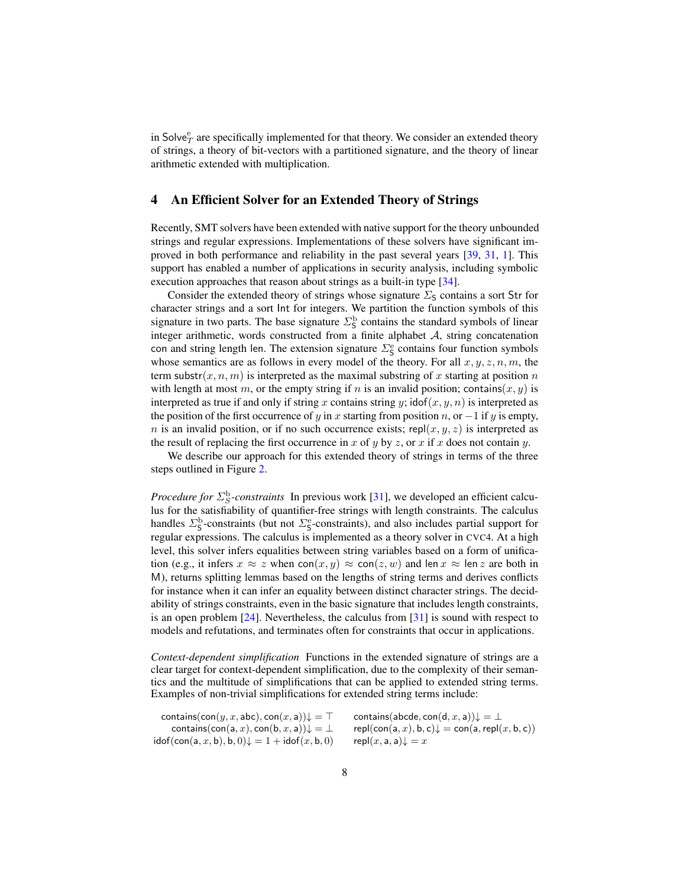in Solve $_T^e$  are specifically implemented for that theory. We consider an extended theory of strings, a theory of bit-vectors with a partitioned signature, and the theory of linear arithmetic extended with multiplication.

## <span id="page-7-0"></span>4 An Efficient Solver for an Extended Theory of Strings

Recently, SMT solvers have been extended with native support for the theory unbounded strings and regular expressions. Implementations of these solvers have significant improved in both performance and reliability in the past several years [\[39,](#page-16-0) [31,](#page-16-1) [1\]](#page-15-5). This support has enabled a number of applications in security analysis, including symbolic execution approaches that reason about strings as a built-in type [\[34\]](#page-16-4).

Consider the extended theory of strings whose signature  $\Sigma$ <sub>S</sub> contains a sort Str for character strings and a sort Int for integers. We partition the function symbols of this signature in two parts. The base signature  $\Sigma^{\text{b}}_{\text{S}}$  contains the standard symbols of linear integer arithmetic, words constructed from a finite alphabet A, string concatenation con and string length len. The extension signature  $\Sigma_{\mathsf{S}}^{\mathsf{e}}$  contains four function symbols whose semantics are as follows in every model of the theory. For all  $x, y, z, n, m$ , the term substr $(x, n, m)$  is interpreted as the maximal substring of x starting at position n with length at most m, or the empty string if n is an invalid position; contains(x, y) is interpreted as true if and only if string x contains string y; idof(x, y, n) is interpreted as the position of the first occurrence of y in x starting from position n, or  $-1$  if y is empty, n is an invalid position, or if no such occurrence exists; repl $(x, y, z)$  is interpreted as the result of replacing the first occurrence in x of y by z, or x if x does not contain y.

We describe our approach for this extended theory of strings in terms of the three steps outlined in Figure [2.](#page-6-0)

*Procedure for*  $\Sigma_S^{\text{b}}$ -constraints In previous work [\[31\]](#page-16-1), we developed an efficient calculus for the satisfiability of quantifier-free strings with length constraints. The calculus handles  $\Sigma_{\mathsf{S}}^{\text{b}}$ -constraints (but not  $\Sigma_{\mathsf{S}}^{\text{e}}$ -constraints), and also includes partial support for regular expressions. The calculus is implemented as a theory solver in CVC4. At a high level, this solver infers equalities between string variables based on a form of unification (e.g., it infers  $x \approx z$  when  $con(x, y) \approx con(z, w)$  and len  $x \approx len z$  are both in M), returns splitting lemmas based on the lengths of string terms and derives conflicts for instance when it can infer an equality between distinct character strings. The decidability of strings constraints, even in the basic signature that includes length constraints, is an open problem [\[24\]](#page-16-7). Nevertheless, the calculus from [\[31\]](#page-16-1) is sound with respect to models and refutations, and terminates often for constraints that occur in applications.

*Context-dependent simplification* Functions in the extended signature of strings are a clear target for context-dependent simplification, due to the complexity of their semantics and the multitude of simplifications that can be applied to extended string terms. Examples of non-trivial simplifications for extended string terms include:

contains(con(y, x, abc), con(x, a)) $\downarrow = \top$  contains(abcde, con(d, x, a)) $\downarrow = \bot$ contains(con(a, x), con(b, x, a)) $\downarrow = \perp$  repl(con(a, x), b, c) $\downarrow$  = con(a, repl(x, b, c))  $\text{idof}(\text{con}(a, x, b), b, 0) \downarrow 1 + \text{idof}(x, b, 0)$  repl $(x, a, a) \downarrow = x$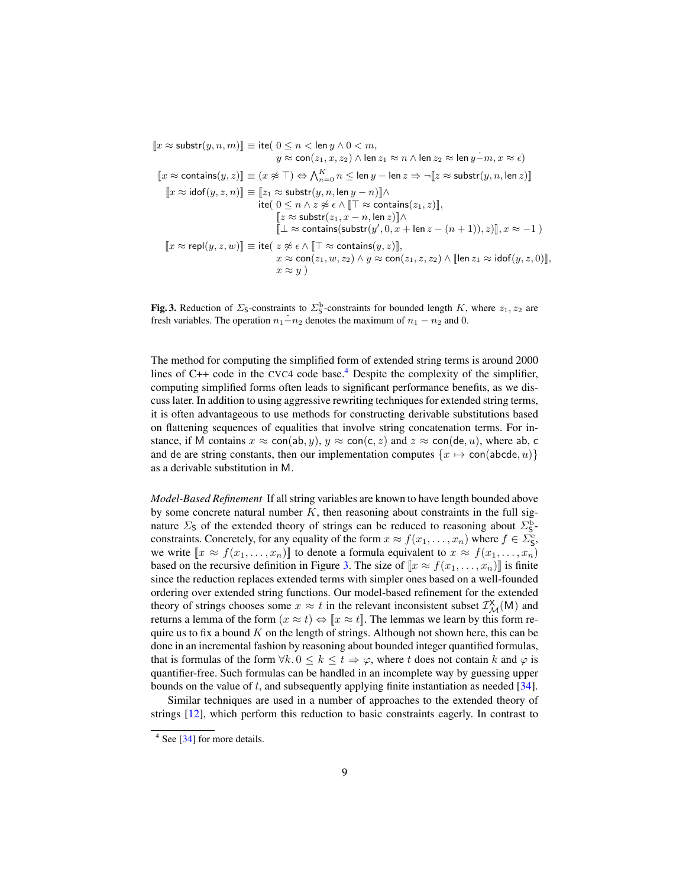$[x \approx \text{substr}(y, n, m)] \equiv \text{ite}(0 \leq n < \text{len } y \land 0 < m,$  $y \approx \textsf{con}(z_1, x, z_2) \land \textsf{len } z_1 \approx n \land \textsf{len } z_2 \approx \textsf{len } y - m, x \approx \epsilon)$  $\llbracket x \approx \mathsf{contains}(y,z) \rrbracket \equiv (x \not\approx \top) \Leftrightarrow \bigwedge_{n=0}^K n \leq \mathsf{len}\, y - \mathsf{len}\, z \Rightarrow \lnot \llbracket z \approx \mathsf{subst}(y,n,\mathsf{len}\, z) \rrbracket$  $[x \approx \text{idof}(y, z, n)] \equiv [z_1 \approx \text{substr}(y, n, \text{len } y - n)] \wedge$ ite(  $0 \leq n \wedge z \not\approx \epsilon \wedge [\![ \top \approx \text{contains}(z_1, z) ]\!]$ ,  $[z \approx \text{substr}(z_1, x - n, \text{len } z)]$ ∧  $[\bot \approx \text{contains}(\text{substr}(y', 0, x + \text{len } z - (n+1)), z)], x \approx -1)$  $\llbracket x \approx \mathsf{repl}(y,z,w) \rrbracket \equiv \mathsf{ite}( \; z \not\approx \epsilon \wedge \llbracket \top \approx \mathsf{contains}(y,z) \rrbracket,$  $x \approx \overline{\text{con}(z_1, w, z_2)} \wedge y \approx \overline{\text{con}(z_1, z, z_2)} \wedge [\text{len } z_1 \approx \text{idof}(y, z, 0)],$  $x \approx u$ )

<span id="page-8-1"></span>**Fig. 3.** Reduction of  $\Sigma$ <sub>5</sub>-constraints to  $\Sigma$ <sub>5</sub>-constraints for bounded length K, where  $z_1, z_2$  are fresh variables. The operation  $n_1$ − $n_2$  denotes the maximum of  $n_1 - n_2$  and 0.

The method for computing the simplified form of extended string terms is around 2000 lines of  $C++$  code in the CVC[4](#page-8-0) code base.<sup>4</sup> Despite the complexity of the simplifier, computing simplified forms often leads to significant performance benefits, as we discuss later. In addition to using aggressive rewriting techniques for extended string terms, it is often advantageous to use methods for constructing derivable substitutions based on flattening sequences of equalities that involve string concatenation terms. For instance, if M contains  $x \approx \text{con}(ab, y)$ ,  $y \approx \text{con}(c, z)$  and  $z \approx \text{con}(de, u)$ , where ab, c and de are string constants, then our implementation computes  $\{x \mapsto \text{con}(\text{abcde}, u)\}$ as a derivable substitution in M.

*Model-Based Refinement* If all string variables are known to have length bounded above by some concrete natural number  $K$ , then reasoning about constraints in the full signature  $\Sigma$ <sub>S</sub> of the extended theory of strings can be reduced to reasoning about  $\Sigma$ <sup>b</sup><sub>S</sub>constraints. Concretely, for any equality of the form  $x \approx f(x_1, \ldots, x_n)$  where  $f \in \overline{\Sigma}_S^e$ , we write  $[x \approx f(x_1, \ldots, x_n)]$  to denote a formula equivalent to  $x \approx f(x_1, \ldots, x_n)$ based on the recursive definition in Figure [3.](#page-8-1) The size of  $[x \approx f(x_1, \ldots, x_n)]$  is finite since the reduction replaces extended terms with simpler ones based on a well-founded ordering over extended string functions. Our model-based refinement for the extended theory of strings chooses some  $x \approx t$  in the relevant inconsistent subset  $\mathcal{I}^{\mathsf{X}}_{\mathcal{M}}(\mathsf{M})$  and returns a lemma of the form  $(x \approx t) \Leftrightarrow [x \approx t]$ . The lemmas we learn by this form require us to fix a bound  $K$  on the length of strings. Although not shown here, this can be done in an incremental fashion by reasoning about bounded integer quantified formulas, that is formulas of the form  $\forall k. 0 \leq k \leq t \Rightarrow \varphi$ , where t does not contain k and  $\varphi$  is quantifier-free. Such formulas can be handled in an incomplete way by guessing upper bounds on the value of  $t$ , and subsequently applying finite instantiation as needed [\[34\]](#page-16-4).

Similar techniques are used in a number of approaches to the extended theory of strings [\[12\]](#page-15-6), which perform this reduction to basic constraints eagerly. In contrast to

<span id="page-8-0"></span><sup>&</sup>lt;sup>4</sup> See [\[34\]](#page-16-4) for more details.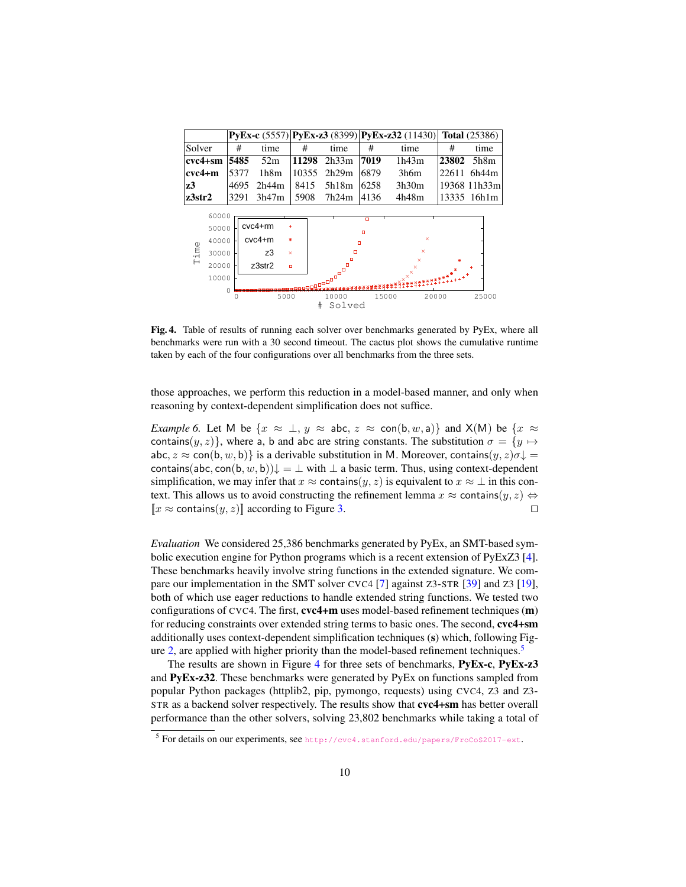|                                                            |               |       |                                                           |                       |                                                            |                 | $PvEx-c (5557)$ $PvEx-z3 (8399)$ $PvEx-z32 (11430)$                   |              | <b>Total</b> (25386) |  |  |
|------------------------------------------------------------|---------------|-------|-----------------------------------------------------------|-----------------------|------------------------------------------------------------|-----------------|-----------------------------------------------------------------------|--------------|----------------------|--|--|
| Solver                                                     |               | #     | time                                                      | #                     | time                                                       | #               | time                                                                  | #            | time                 |  |  |
| $cvc4+sm$                                                  |               | 5485  | 52m                                                       | 11298                 | 2h33m                                                      | 7019            | 1h43m                                                                 | 23802        | 5h8m                 |  |  |
| $cvc4+m$                                                   | 5377          |       | 1h8m                                                      | 10355                 | 2h29m                                                      | 6879            | 3h6m                                                                  | 22611        | 6h44m                |  |  |
| 4695<br>z3                                                 |               | 2h44m | 8415                                                      | 5h18m                 | 6258                                                       | 3h30m           |                                                                       | 19368 11h33m |                      |  |  |
| z3str2                                                     | 3291<br>3h47m |       | 5908                                                      | 7h24m                 | 4136                                                       | 4h48m           |                                                                       | 13335 16h1m  |                      |  |  |
| 60000<br>50000<br>40000<br>Time<br>30000<br>20000<br>10000 | 0             |       | $cvc4 + rm$<br>$cvc4+m$<br>z3<br>z3str2<br>$\Box$<br>5000 | ÷<br>ж<br>$\mathbf x$ | $\Box$<br>同<br>ø<br>E<br><b>TARAS</b> .<br>10000<br>Solved | o<br>ø<br>15000 | ×<br>$\boldsymbol{\mathsf{x}}$<br>×<br>$\mathbf{x}^{\times}$<br>20000 | Ж            | 25000                |  |  |

<span id="page-9-1"></span>Fig. 4. Table of results of running each solver over benchmarks generated by PyEx, where all benchmarks were run with a 30 second timeout. The cactus plot shows the cumulative runtime taken by each of the four configurations over all benchmarks from the three sets.

those approaches, we perform this reduction in a model-based manner, and only when reasoning by context-dependent simplification does not suffice.

*Example 6.* Let M be  $\{x \approx \perp, y \approx \text{abc}, z \approx \text{con}(b, w, a)\}\$  and  $X(M)$  be  $\{x \approx \perp, y \approx \text{abc}\}$ contains $(y, z)$ , where a, b and abc are string constants. The substitution  $\sigma = \{y \mapsto$ abc,  $z \approx$  con(b, w, b)} is a derivable substitution in M. Moreover, contains(y, z) $\sigma \downarrow$  = contains(abc, con(b, w, b)) $\downarrow = \perp$  with  $\perp$  a basic term. Thus, using context-dependent simplification, we may infer that  $x \approx$  contains $(y, z)$  is equivalent to  $x \approx \bot$  in this context. This allows us to avoid constructing the refinement lemma  $x \approx$  contains $(y, z) \Leftrightarrow$  $[x \approx \text{contains}(y, z)]$  according to Figure [3.](#page-8-1)

*Evaluation* We considered 25,386 benchmarks generated by PyEx, an SMT-based symbolic execution engine for Python programs which is a recent extension of PyExZ3 [\[4\]](#page-15-7). These benchmarks heavily involve string functions in the extended signature. We compare our implementation in the SMT solver CVC4 [\[7\]](#page-15-8) against Z3-STR [\[39\]](#page-16-0) and Z3 [\[19\]](#page-16-8), both of which use eager reductions to handle extended string functions. We tested two configurations of CVC4. The first, cvc4+m uses model-based refinement techniques (m) for reducing constraints over extended string terms to basic ones. The second, cvc4+sm additionally uses context-dependent simplification techniques (s) which, following Fig-ure [2,](#page-6-0) are applied with higher priority than the model-based refinement techniques.<sup>[5](#page-9-0)</sup>

The results are shown in Figure [4](#page-9-1) for three sets of benchmarks, PyEx-c, PyEx-z3 and PyEx-z32. These benchmarks were generated by PyEx on functions sampled from popular Python packages (httplib2, pip, pymongo, requests) using CVC4, Z3 and Z3- STR as a backend solver respectively. The results show that cvc4+sm has better overall performance than the other solvers, solving 23,802 benchmarks while taking a total of

<span id="page-9-0"></span><sup>&</sup>lt;sup>5</sup> For details on our experiments, see <http://cvc4.stanford.edu/papers/FroCoS2017-ext>.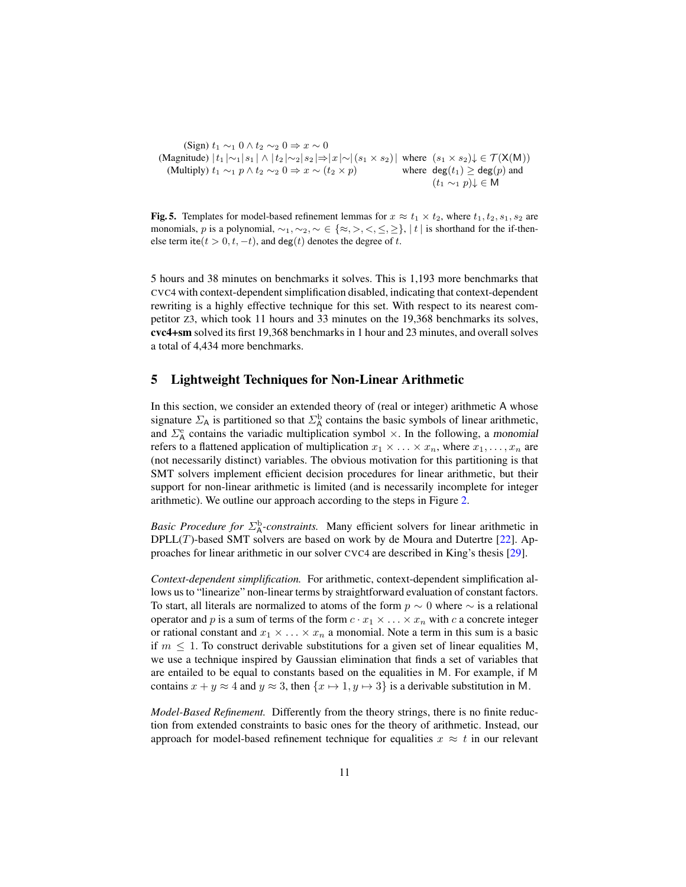(Sign)  $t_1 \sim_1 0 \wedge t_2 \sim_2 0 \Rightarrow x \sim 0$ (Magnitude)  $|t_1| \sim_1 |s_1| \wedge |t_2| \sim_2 |s_2| \Rightarrow |x| \sim |(s_1 \times s_2)|$  where  $(s_1 \times s_2) \downarrow \in \mathcal{T}(\mathsf{X}(\mathsf{M}))$ (Multiply)  $t_1 \sim_1 p \wedge t_2 \sim_2 0 \Rightarrow x \sim (t_2 \times p)$  where  $deg(t_1) \geq deg(p)$  and  $(t_1 \sim_1 p)$ ↓ ∈ M

<span id="page-10-0"></span>Fig. 5. Templates for model-based refinement lemmas for  $x \approx t_1 \times t_2$ , where  $t_1, t_2, s_1, s_2$  are monomials, p is a polynomial,  $\sim_1, \sim_2, \sim \in \{\approx, >, <, \leq, \geq\}, |t|$  is shorthand for the if-thenelse term ite $(t > 0, t, -t)$ , and deg $(t)$  denotes the degree of t.

5 hours and 38 minutes on benchmarks it solves. This is 1,193 more benchmarks that CVC4 with context-dependent simplification disabled, indicating that context-dependent rewriting is a highly effective technique for this set. With respect to its nearest competitor Z3, which took 11 hours and 33 minutes on the 19,368 benchmarks its solves, cvc4+sm solved its first 19,368 benchmarks in 1 hour and 23 minutes, and overall solves a total of 4,434 more benchmarks.

### 5 Lightweight Techniques for Non-Linear Arithmetic

In this section, we consider an extended theory of (real or integer) arithmetic A whose signature  $\Sigma_A$  is partitioned so that  $\Sigma_A^{\text{b}}$  contains the basic symbols of linear arithmetic, and  $\Sigma_A^e$  contains the variadic multiplication symbol  $\times$ . In the following, a monomial refers to a flattened application of multiplication  $x_1 \times \ldots \times x_n$ , where  $x_1, \ldots, x_n$  are (not necessarily distinct) variables. The obvious motivation for this partitioning is that SMT solvers implement efficient decision procedures for linear arithmetic, but their support for non-linear arithmetic is limited (and is necessarily incomplete for integer arithmetic). We outline our approach according to the steps in Figure [2.](#page-6-0)

*Basic Procedure for*  $\Sigma^{\text{b}}_{\text{A}}$ *-constraints.* Many efficient solvers for linear arithmetic in  $DPLL(T)$ -based SMT solvers are based on work by de Moura and Dutertre [\[22\]](#page-16-9). Approaches for linear arithmetic in our solver CVC4 are described in King's thesis [\[29\]](#page-16-10).

*Context-dependent simplification.* For arithmetic, context-dependent simplification allows us to "linearize" non-linear terms by straightforward evaluation of constant factors. To start, all literals are normalized to atoms of the form  $p \sim 0$  where  $\sim$  is a relational operator and p is a sum of terms of the form  $c \cdot x_1 \times \ldots \times x_n$  with c a concrete integer or rational constant and  $x_1 \times \ldots \times x_n$  a monomial. Note a term in this sum is a basic if  $m \leq 1$ . To construct derivable substitutions for a given set of linear equalities M, we use a technique inspired by Gaussian elimination that finds a set of variables that are entailed to be equal to constants based on the equalities in M. For example, if M contains  $x + y \approx 4$  and  $y \approx 3$ , then  $\{x \mapsto 1, y \mapsto 3\}$  is a derivable substitution in M.

*Model-Based Refinement.* Differently from the theory strings, there is no finite reduction from extended constraints to basic ones for the theory of arithmetic. Instead, our approach for model-based refinement technique for equalities  $x \approx t$  in our relevant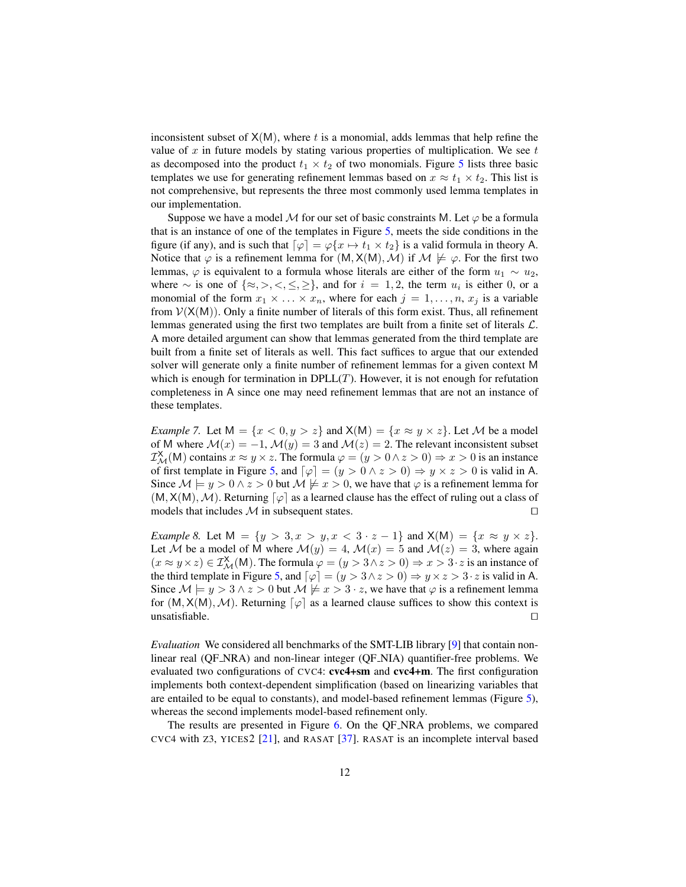inconsistent subset of  $X(M)$ , where t is a monomial, adds lemmas that help refine the value of x in future models by stating various properties of multiplication. We see  $t$ as decomposed into the product  $t_1 \times t_2$  of two monomials. Figure [5](#page-10-0) lists three basic templates we use for generating refinement lemmas based on  $x \approx t_1 \times t_2$ . This list is not comprehensive, but represents the three most commonly used lemma templates in our implementation.

Suppose we have a model M for our set of basic constraints M. Let  $\varphi$  be a formula that is an instance of one of the templates in Figure [5,](#page-10-0) meets the side conditions in the figure (if any), and is such that  $\lceil \varphi \rceil = \varphi \{x \mapsto t_1 \times t_2\}$  is a valid formula in theory A. Notice that  $\varphi$  is a refinement lemma for  $(M, X(M), M)$  if  $M \not\models \varphi$ . For the first two lemmas,  $\varphi$  is equivalent to a formula whose literals are either of the form  $u_1 \sim u_2$ , where  $\sim$  is one of  $\{\approx,>,<,\leq,\geq\}$ , and for  $i=1,2$ , the term  $u_i$  is either 0, or a monomial of the form  $x_1 \times \ldots \times x_n$ , where for each  $j = 1, \ldots, n$ ,  $x_j$  is a variable from  $V(X(M))$ . Only a finite number of literals of this form exist. Thus, all refinement lemmas generated using the first two templates are built from a finite set of literals  $\mathcal{L}$ . A more detailed argument can show that lemmas generated from the third template are built from a finite set of literals as well. This fact suffices to argue that our extended solver will generate only a finite number of refinement lemmas for a given context M which is enough for termination in  $DPLL(T)$ . However, it is not enough for refutation completeness in A since one may need refinement lemmas that are not an instance of these templates.

*Example 7.* Let  $M = \{x < 0, y > z\}$  and  $X(M) = \{x \approx y \times z\}$ . Let M be a model of M where  $\mathcal{M}(x) = -1$ ,  $\mathcal{M}(y) = 3$  and  $\mathcal{M}(z) = 2$ . The relevant inconsistent subset  $\mathcal{I}_{\mathcal{M}}^{\mathsf{X}}(\mathsf{M})$  contains  $x \approx y \times z$ . The formula  $\varphi = (y > 0 \land z > 0) \Rightarrow x > 0$  is an instance of first template in Figure [5,](#page-10-0) and  $\lceil \varphi \rceil = (y > 0 \land z > 0) \Rightarrow y \times z > 0$  is valid in A. Since  $M \models y > 0 \land z > 0$  but  $M \not\models x > 0$ , we have that  $\varphi$  is a refinement lemma for  $(M, X(M), M)$ . Returning  $\lceil \varphi \rceil$  as a learned clause has the effect of ruling out a class of models that includes  $M$  in subsequent states.  $\Box$ 

*Example 8.* Let  $M = \{y > 3, x > y, x < 3 \cdot z - 1\}$  and  $X(M) = \{x \approx y \times z\}.$ Let M be a model of M where  $\mathcal{M}(y) = 4$ ,  $\mathcal{M}(x) = 5$  and  $\mathcal{M}(z) = 3$ , where again  $(x \approx y \times z) \in \mathcal{I}^{\mathsf{X}}_{\mathcal{M}}(\mathsf{M})$ . The formula  $\varphi = (y > 3 \land z > 0) \Rightarrow x > 3 \cdot z$  is an instance of the third template in Figure [5,](#page-10-0) and  $\lceil \varphi \rceil = (y > 3 \land z > 0) \Rightarrow y \times z > 3 \cdot z$  is valid in A. Since  $M \models y > 3 \land z > 0$  but  $M \not\models x > 3 \cdot z$ , we have that  $\varphi$  is a refinement lemma for  $(M, X(M), M)$ . Returning  $\lceil \varphi \rceil$  as a learned clause suffices to show this context is unsatisfiable.  $\Box$ 

*Evaluation* We considered all benchmarks of the SMT-LIB library [\[9\]](#page-15-9) that contain nonlinear real (QF NRA) and non-linear integer (QF NIA) quantifier-free problems. We evaluated two configurations of CVC4: cvc4+sm and cvc4+m. The first configuration implements both context-dependent simplification (based on linearizing variables that are entailed to be equal to constants), and model-based refinement lemmas (Figure [5\)](#page-10-0), whereas the second implements model-based refinement only.

The results are presented in Figure [6.](#page-12-0) On the QF NRA problems, we compared CVC4 with  $Z3$ , YICES2 [\[21\]](#page-16-11), and RASAT [\[37\]](#page-16-12). RASAT is an incomplete interval based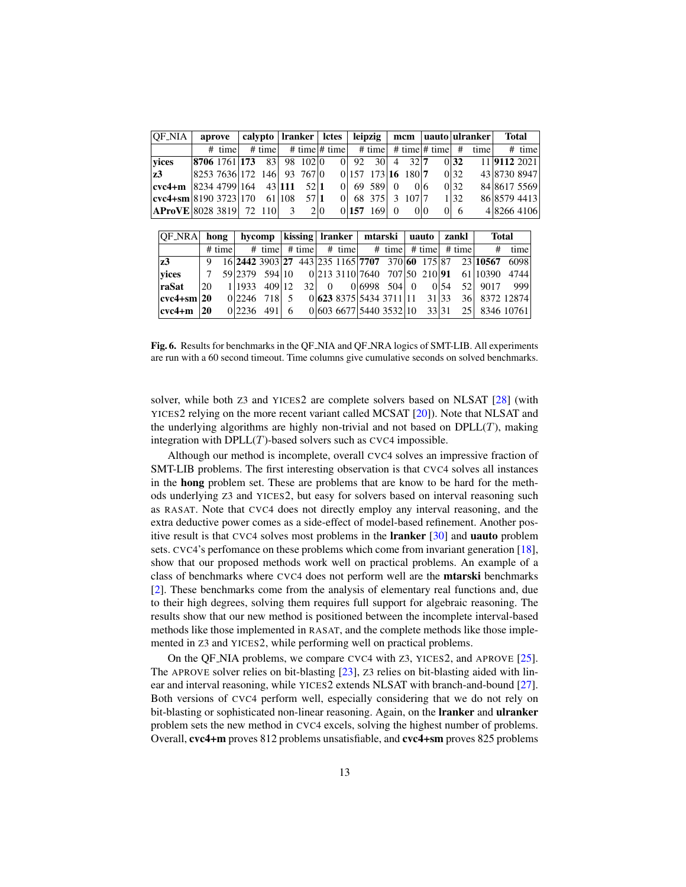| <b>OF_NIA</b>                                    | aprove                        |          | calypto   Iranker   Ictes |  |       | leipzig |                          | mcm   uauto   ulranker |  |                |  |            | Total                                             |  |              |
|--------------------------------------------------|-------------------------------|----------|---------------------------|--|-------|---------|--------------------------|------------------------|--|----------------|--|------------|---------------------------------------------------|--|--------------|
|                                                  |                               | $#$ time | $#$ time                  |  |       |         |                          |                        |  |                |  |            | # time  # time   # time   # time  # time   # time |  | $#$ time     |
| $ y$ vices                                       | $ 8706 1761 $ 173 83 98 102 0 |          |                           |  |       |         | $0 92 \t30 4 \t32 7$     |                        |  |                |  | 0 32       |                                                   |  | 11 9112 2021 |
| z3                                               | 8253 7636 172 146 93 767 0    |          |                           |  |       |         | $0 157 \t173 16 \t180 7$ |                        |  |                |  | 0 32       |                                                   |  | 43 8730 8947 |
| $ {\rm cvc4+m}$   8234 4799   164 43   111       |                               |          |                           |  | 52.11 |         | 016958910                |                        |  | 0 <sub>6</sub> |  | 0 32       |                                                   |  | 84 8617 5569 |
| $ {\rm cyc4}+{\rm sm} 8190\,3723 170\quad61 108$ |                               |          |                           |  | 57 1  |         | 0  68 375   3 107   7    |                        |  |                |  | 1 32       |                                                   |  | 86 8579 4413 |
| AProVE 80283819 72110 3                          |                               |          |                           |  |       | 2 0     | 0 157, 169 0             |                        |  | 0 0            |  | $0\vert 6$ |                                                   |  | 482664106    |

| <b>OF_NRA</b>              | hong |        |                |        |   |  | hycomp   kissing   Iranker   mtarski   uauto |  |                                                     |  |       |      | zankl | <b>Total</b>                                             |               |  |
|----------------------------|------|--------|----------------|--------|---|--|----------------------------------------------|--|-----------------------------------------------------|--|-------|------|-------|----------------------------------------------------------|---------------|--|
|                            |      | # time |                |        |   |  |                                              |  | # time   # time   # time   # time   # time   # time |  |       |      |       | #                                                        | time          |  |
| z3                         | 9    |        |                |        |   |  |                                              |  |                                                     |  |       |      |       | 16 2442 3903 27 443 235 1165 7707 370 60 175 87 23 10567 | 6098          |  |
| yices                      |      |        |                |        |   |  |                                              |  |                                                     |  |       |      |       | 59 2379 594 10 0 213 3110 7640 707 50 210 91 61 10390    | 4744          |  |
| raSat                      | 20   |        | 1 1 1 9 3 3    | 409 12 |   |  | 32 0                                         |  | $0 6998 \t504 0$                                    |  |       | 0.54 |       | 52 9017                                                  | 999           |  |
| $ {\rm cvc4+sm} 20\rangle$ |      |        | $0 2246$ 718 5 |        |   |  |                                              |  | 0 6238375 54343711 1131 33                          |  |       |      |       |                                                          | 36 8372 12874 |  |
| $ {\rm cvc4+m} \rangle$ 20 |      |        | $0 2236$ 491   |        | 6 |  |                                              |  | 0 603 6677 5440 3532 10                             |  | 33 31 |      |       |                                                          | 25 8346 10761 |  |

<span id="page-12-0"></span>Fig. 6. Results for benchmarks in the QF NIA and QF NRA logics of SMT-LIB. All experiments are run with a 60 second timeout. Time columns give cumulative seconds on solved benchmarks.

solver, while both Z3 and YICES2 are complete solvers based on NLSAT [\[28\]](#page-16-13) (with YICES2 relying on the more recent variant called MCSAT [\[20\]](#page-16-14)). Note that NLSAT and the underlying algorithms are highly non-trivial and not based on  $DPLL(T)$ , making integration with  $DPLL(T)$ -based solvers such as CVC4 impossible.

Although our method is incomplete, overall CVC4 solves an impressive fraction of SMT-LIB problems. The first interesting observation is that CVC4 solves all instances in the hong problem set. These are problems that are know to be hard for the methods underlying Z3 and YICES2, but easy for solvers based on interval reasoning such as RASAT. Note that CVC4 does not directly employ any interval reasoning, and the extra deductive power comes as a side-effect of model-based refinement. Another positive result is that CVC4 solves most problems in the lranker [\[30\]](#page-16-15) and uauto problem sets. CVC4's perfomance on these problems which come from invariant generation [\[18\]](#page-16-16), show that our proposed methods work well on practical problems. An example of a class of benchmarks where CVC4 does not perform well are the mtarski benchmarks [\[2\]](#page-15-10). These benchmarks come from the analysis of elementary real functions and, due to their high degrees, solving them requires full support for algebraic reasoning. The results show that our new method is positioned between the incomplete interval-based methods like those implemented in RASAT, and the complete methods like those implemented in Z3 and YICES2, while performing well on practical problems.

On the QF NIA problems, we compare CVC4 with Z3, YICES2, and APROVE [\[25\]](#page-16-17). The APROVE solver relies on bit-blasting [\[23\]](#page-16-18), Z3 relies on bit-blasting aided with lin-ear and interval reasoning, while YICES2 extends NLSAT with branch-and-bound [\[27\]](#page-16-19). Both versions of CVC4 perform well, especially considering that we do not rely on bit-blasting or sophisticated non-linear reasoning. Again, on the lranker and ulranker problem sets the new method in CVC4 excels, solving the highest number of problems. Overall, cvc4+m proves 812 problems unsatisfiable, and cvc4+sm proves 825 problems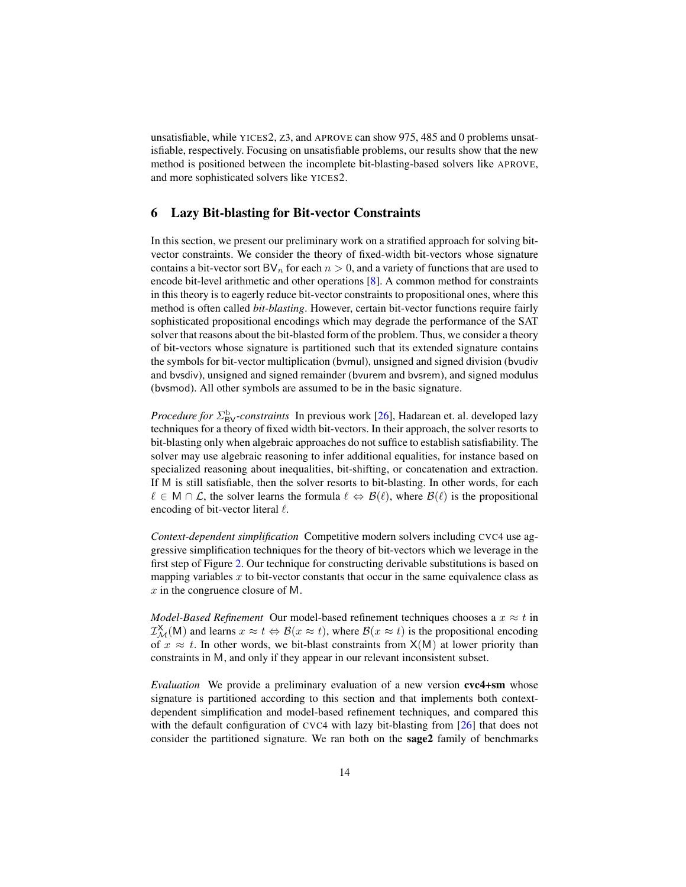unsatisfiable, while YICES2, Z3, and APROVE can show 975, 485 and 0 problems unsatisfiable, respectively. Focusing on unsatisfiable problems, our results show that the new method is positioned between the incomplete bit-blasting-based solvers like APROVE, and more sophisticated solvers like YICES2.

### <span id="page-13-0"></span>6 Lazy Bit-blasting for Bit-vector Constraints

In this section, we present our preliminary work on a stratified approach for solving bitvector constraints. We consider the theory of fixed-width bit-vectors whose signature contains a bit-vector sort BV<sub>n</sub> for each  $n > 0$ , and a variety of functions that are used to encode bit-level arithmetic and other operations [\[8\]](#page-15-11). A common method for constraints in this theory is to eagerly reduce bit-vector constraints to propositional ones, where this method is often called *bit-blasting*. However, certain bit-vector functions require fairly sophisticated propositional encodings which may degrade the performance of the SAT solver that reasons about the bit-blasted form of the problem. Thus, we consider a theory of bit-vectors whose signature is partitioned such that its extended signature contains the symbols for bit-vector multiplication (bvmul), unsigned and signed division (bvudiv and bvsdiv), unsigned and signed remainder (bvurem and bvsrem), and signed modulus (bvsmod). All other symbols are assumed to be in the basic signature.

*Procedure for*  $\Sigma_{\text{BV}}^{\text{b}}$ *-constraints* In previous work [\[26\]](#page-16-6), Hadarean et. al. developed lazy techniques for a theory of fixed width bit-vectors. In their approach, the solver resorts to bit-blasting only when algebraic approaches do not suffice to establish satisfiability. The solver may use algebraic reasoning to infer additional equalities, for instance based on specialized reasoning about inequalities, bit-shifting, or concatenation and extraction. If M is still satisfiable, then the solver resorts to bit-blasting. In other words, for each  $\ell \in M \cap \mathcal{L}$ , the solver learns the formula  $\ell \Leftrightarrow \mathcal{B}(\ell)$ , where  $\mathcal{B}(\ell)$  is the propositional encoding of bit-vector literal  $\ell$ .

*Context-dependent simplification* Competitive modern solvers including CVC4 use aggressive simplification techniques for the theory of bit-vectors which we leverage in the first step of Figure [2.](#page-6-0) Our technique for constructing derivable substitutions is based on mapping variables  $x$  to bit-vector constants that occur in the same equivalence class as  $x$  in the congruence closure of M.

*Model-Based Refinement* Our model-based refinement techniques chooses a  $x \approx t$  in  $\mathcal{I}_{\mathcal{M}}^{\mathsf{X}}(\mathsf{M})$  and learns  $x \approx t \Leftrightarrow \mathcal{B}(x \approx t)$ , where  $\mathcal{B}(x \approx t)$  is the propositional encoding of  $x \approx t$ . In other words, we bit-blast constraints from  $X(M)$  at lower priority than constraints in M, and only if they appear in our relevant inconsistent subset.

*Evaluation* We provide a preliminary evaluation of a new version cvc4+sm whose signature is partitioned according to this section and that implements both contextdependent simplification and model-based refinement techniques, and compared this with the default configuration of CVC4 with lazy bit-blasting from [\[26\]](#page-16-6) that does not consider the partitioned signature. We ran both on the sage2 family of benchmarks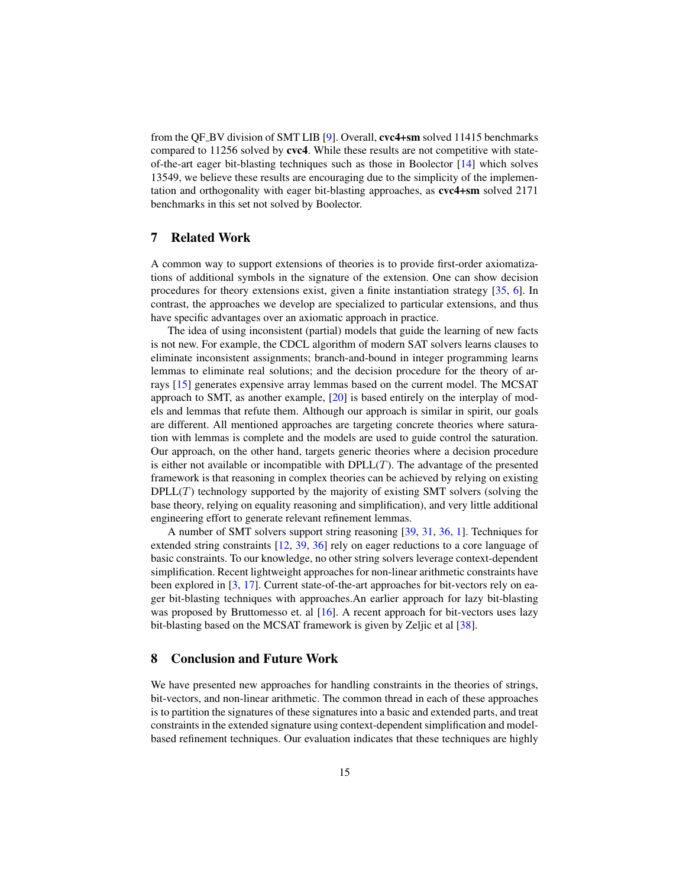from the QF BV division of SMT LIB [\[9\]](#page-15-9). Overall, cvc4+sm solved 11415 benchmarks compared to 11256 solved by cvc4. While these results are not competitive with stateof-the-art eager bit-blasting techniques such as those in Boolector [\[14\]](#page-15-12) which solves 13549, we believe these results are encouraging due to the simplicity of the implementation and orthogonality with eager bit-blasting approaches, as cvc4+sm solved 2171 benchmarks in this set not solved by Boolector.

### 7 Related Work

A common way to support extensions of theories is to provide first-order axiomatizations of additional symbols in the signature of the extension. One can show decision procedures for theory extensions exist, given a finite instantiation strategy [\[35,](#page-16-20) [6\]](#page-15-13). In contrast, the approaches we develop are specialized to particular extensions, and thus have specific advantages over an axiomatic approach in practice.

The idea of using inconsistent (partial) models that guide the learning of new facts is not new. For example, the CDCL algorithm of modern SAT solvers learns clauses to eliminate inconsistent assignments; branch-and-bound in integer programming learns lemmas to eliminate real solutions; and the decision procedure for the theory of arrays [\[15\]](#page-15-2) generates expensive array lemmas based on the current model. The MCSAT approach to SMT, as another example, [\[20\]](#page-16-14) is based entirely on the interplay of models and lemmas that refute them. Although our approach is similar in spirit, our goals are different. All mentioned approaches are targeting concrete theories where saturation with lemmas is complete and the models are used to guide control the saturation. Our approach, on the other hand, targets generic theories where a decision procedure is either not available or incompatible with  $DPLL(T)$ . The advantage of the presented framework is that reasoning in complex theories can be achieved by relying on existing  $DPLL(T)$  technology supported by the majority of existing SMT solvers (solving the base theory, relying on equality reasoning and simplification), and very little additional engineering effort to generate relevant refinement lemmas.

A number of SMT solvers support string reasoning [\[39,](#page-16-0) [31,](#page-16-1) [36,](#page-16-21) [1\]](#page-15-5). Techniques for extended string constraints [\[12,](#page-15-6) [39,](#page-16-0) [36\]](#page-16-21) rely on eager reductions to a core language of basic constraints. To our knowledge, no other string solvers leverage context-dependent simplification. Recent lightweight approaches for non-linear arithmetic constraints have been explored in [\[3,](#page-15-14) [17\]](#page-16-3). Current state-of-the-art approaches for bit-vectors rely on eager bit-blasting techniques with approaches.An earlier approach for lazy bit-blasting was proposed by Bruttomesso et. al [\[16\]](#page-15-15). A recent approach for bit-vectors uses lazy bit-blasting based on the MCSAT framework is given by Zeljic et al [\[38\]](#page-16-22).

### 8 Conclusion and Future Work

We have presented new approaches for handling constraints in the theories of strings, bit-vectors, and non-linear arithmetic. The common thread in each of these approaches is to partition the signatures of these signatures into a basic and extended parts, and treat constraints in the extended signature using context-dependent simplification and modelbased refinement techniques. Our evaluation indicates that these techniques are highly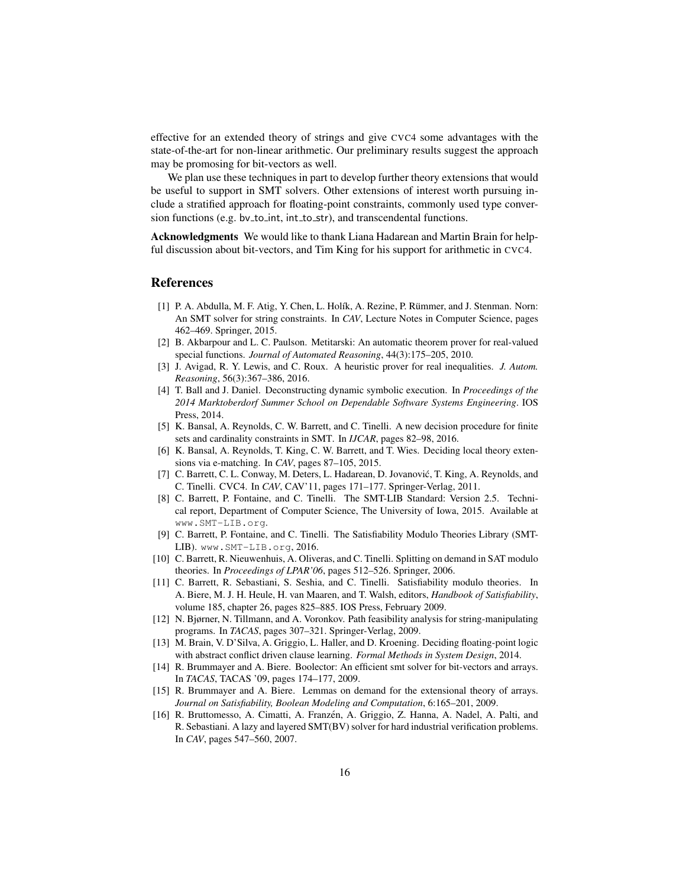effective for an extended theory of strings and give CVC4 some advantages with the state-of-the-art for non-linear arithmetic. Our preliminary results suggest the approach may be promosing for bit-vectors as well.

We plan use these techniques in part to develop further theory extensions that would be useful to support in SMT solvers. Other extensions of interest worth pursuing include a stratified approach for floating-point constraints, commonly used type conversion functions (e.g. by to int, int to str), and transcendental functions.

Acknowledgments We would like to thank Liana Hadarean and Martin Brain for helpful discussion about bit-vectors, and Tim King for his support for arithmetic in CVC4.

### References

- <span id="page-15-5"></span>[1] P. A. Abdulla, M. F. Atig, Y. Chen, L. Holík, A. Rezine, P. Rümmer, and J. Stenman. Norn: An SMT solver for string constraints. In *CAV*, Lecture Notes in Computer Science, pages 462–469. Springer, 2015.
- <span id="page-15-10"></span>[2] B. Akbarpour and L. C. Paulson. Metitarski: An automatic theorem prover for real-valued special functions. *Journal of Automated Reasoning*, 44(3):175–205, 2010.
- <span id="page-15-14"></span>[3] J. Avigad, R. Y. Lewis, and C. Roux. A heuristic prover for real inequalities. *J. Autom. Reasoning*, 56(3):367–386, 2016.
- <span id="page-15-7"></span>[4] T. Ball and J. Daniel. Deconstructing dynamic symbolic execution. In *Proceedings of the 2014 Marktoberdorf Summer School on Dependable Software Systems Engineering*. IOS Press, 2014.
- <span id="page-15-0"></span>[5] K. Bansal, A. Reynolds, C. W. Barrett, and C. Tinelli. A new decision procedure for finite sets and cardinality constraints in SMT. In *IJCAR*, pages 82–98, 2016.
- <span id="page-15-13"></span>[6] K. Bansal, A. Reynolds, T. King, C. W. Barrett, and T. Wies. Deciding local theory extensions via e-matching. In *CAV*, pages 87–105, 2015.
- <span id="page-15-8"></span>[7] C. Barrett, C. L. Conway, M. Deters, L. Hadarean, D. Jovanović, T. King, A. Reynolds, and C. Tinelli. CVC4. In *CAV*, CAV'11, pages 171–177. Springer-Verlag, 2011.
- <span id="page-15-11"></span>[8] C. Barrett, P. Fontaine, and C. Tinelli. The SMT-LIB Standard: Version 2.5. Technical report, Department of Computer Science, The University of Iowa, 2015. Available at www.SMT-LIB.org.
- <span id="page-15-9"></span>[9] C. Barrett, P. Fontaine, and C. Tinelli. The Satisfiability Modulo Theories Library (SMT-LIB). www.SMT-LIB.org, 2016.
- <span id="page-15-4"></span>[10] C. Barrett, R. Nieuwenhuis, A. Oliveras, and C. Tinelli. Splitting on demand in SAT modulo theories. In *Proceedings of LPAR'06*, pages 512–526. Springer, 2006.
- <span id="page-15-3"></span>[11] C. Barrett, R. Sebastiani, S. Seshia, and C. Tinelli. Satisfiability modulo theories. In A. Biere, M. J. H. Heule, H. van Maaren, and T. Walsh, editors, *Handbook of Satisfiability*, volume 185, chapter 26, pages 825–885. IOS Press, February 2009.
- <span id="page-15-6"></span>[12] N. Bjørner, N. Tillmann, and A. Voronkov. Path feasibility analysis for string-manipulating programs. In *TACAS*, pages 307–321. Springer-Verlag, 2009.
- <span id="page-15-1"></span>[13] M. Brain, V. D'Silva, A. Griggio, L. Haller, and D. Kroening. Deciding floating-point logic with abstract conflict driven clause learning. *Formal Methods in System Design*, 2014.
- <span id="page-15-12"></span>[14] R. Brummayer and A. Biere. Boolector: An efficient smt solver for bit-vectors and arrays. In *TACAS*, TACAS '09, pages 174–177, 2009.
- <span id="page-15-2"></span>[15] R. Brummayer and A. Biere. Lemmas on demand for the extensional theory of arrays. *Journal on Satisfiability, Boolean Modeling and Computation*, 6:165–201, 2009.
- <span id="page-15-15"></span>[16] R. Bruttomesso, A. Cimatti, A. Franzén, A. Griggio, Z. Hanna, A. Nadel, A. Palti, and R. Sebastiani. A lazy and layered SMT(BV) solver for hard industrial verification problems. In *CAV*, pages 547–560, 2007.